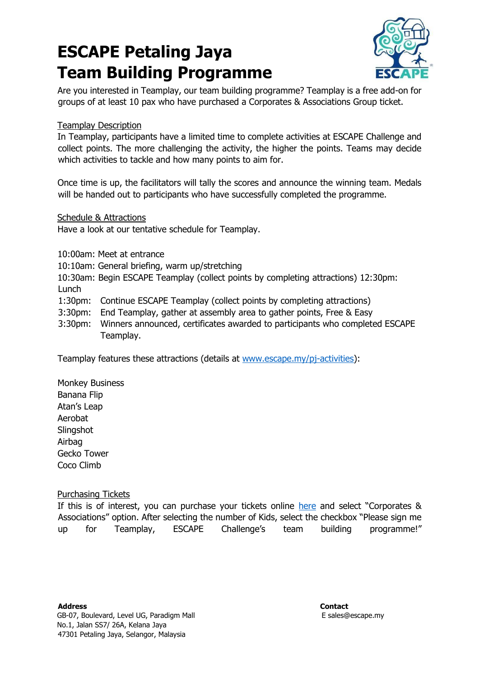# **ESCAPE Petaling Jaya Team Building Programme**



Are you interested in Teamplay, our team building programme? Teamplay is a free add-on for groups of at least 10 pax who have purchased a Corporates & Associations Group ticket.

# Teamplay Description

In Teamplay, participants have a limited time to complete activities at ESCAPE Challenge and collect points. The more challenging the activity, the higher the points. Teams may decide which activities to tackle and how many points to aim for.

Once time is up, the facilitators will tally the scores and announce the winning team. Medals will be handed out to participants who have successfully completed the programme.

### Schedule & Attractions

Have a look at our tentative schedule for Teamplay.

10:00am: Meet at entrance

10:10am: General briefing, warm up/stretching

10:30am: Begin ESCAPE Teamplay (collect points by completing attractions) 12:30pm: Lunch

- 1:30pm: Continue ESCAPE Teamplay (collect points by completing attractions)
- 3:30pm: End Teamplay, gather at assembly area to gather points, Free & Easy
- 3:30pm: Winners announced, certificates awarded to participants who completed ESCAPE Teamplay.

Teamplay features these attractions (details at [www.escape.my/pj-activities\):](http://www.escape.my/pj-activities)

Monkey Business Banana Flip Atan's Leap Aerobat **Slingshot** Airbag Gecko Tower Coco Climb

# Purchasing Tickets

If this is of interest, you can purchase your tickets online [here](https://ticketkl.escape.my/) [a](https://ticketkl.escape.my/)nd select "Corporates & Associations" option. After selecting the number of Kids, select the checkbox "Please sign me up for Teamplay, ESCAPE Challenge's team building programme!"